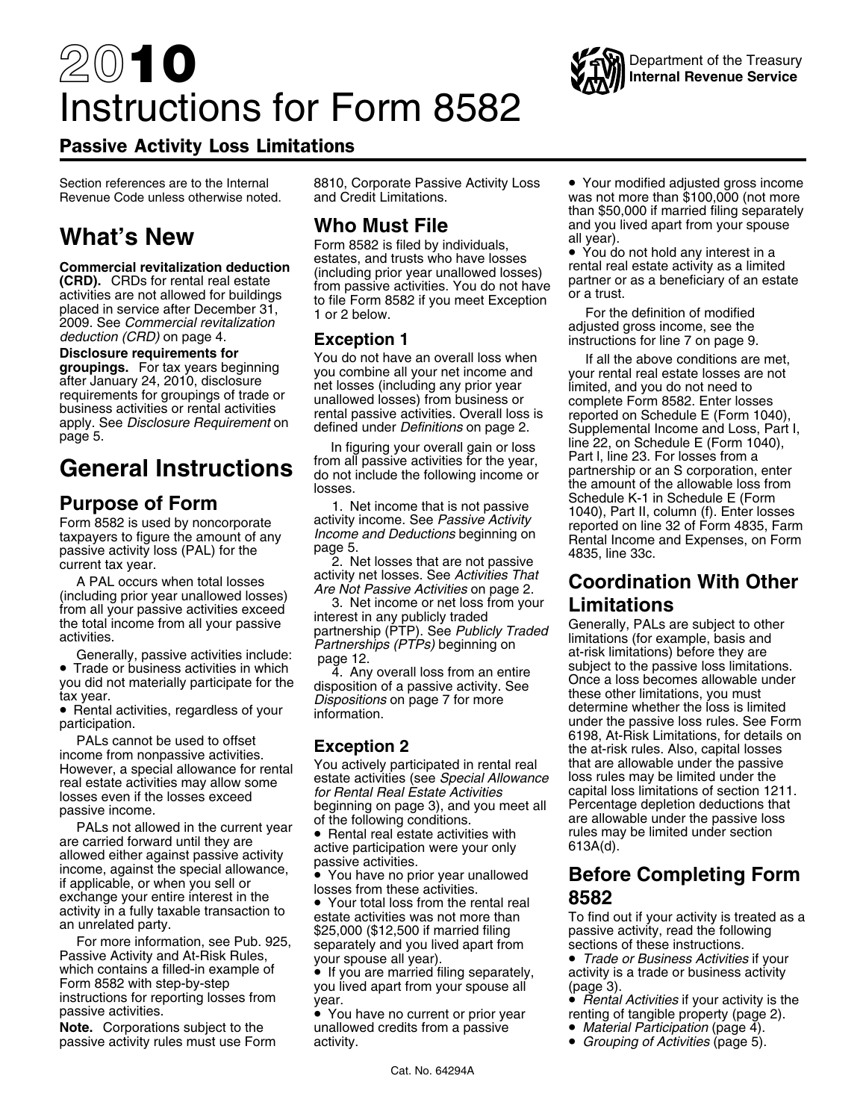## 20**10** Instructions for Form 8582



### Passive Activity Loss Limitations

passive activity loss (PAL) for the page 5.<br>current tax year. 2. Net losses that are not passive<br>A PAL occurs when total losses

TALS Not allowed in the current year<br>are carried forward until they are<br>allowed either against passive activity<br>income, against the special allowance,<br>income, against the special allowance,<br> $\bullet$  You have no prior year unal Fractive applicable, or when you sell or<br>
if applicable, or when you sell or<br>
exchange your entire interest in the<br>
activity in a fully taxable transaction to<br>
exchange the section of the sectivities was not mere than<br>
ac

Passive Activity and At-Risk Rules, your spouse all year).<br>
which contains a filled-in example of vertify our spouse all year).<br>
Form 8582 with step-by-step you lived apart from your spouse all (page 3).<br>
instructions for

**Note.** Corporations subject to the unallowed credits from a passive • *Material Participation* (page 4).<br>
passive activity rules must use Form activity. **activity** activity. passive activity rules must use Form

Section references are to the Internal 8810, Corporate Passive Activity Loss . Your modified adjusted gross income

**Who Must File** and you lived apart from your spouse<br>
Form 8582 is filed by individuals, all year).<br> **Example 3682** is filed by individuals, and trusts who have losses and trusts who have losses **Commercial revitalization deduction**<br> **CRD).** CRDs for rental real estate<br>
activities are not allowed for buildings<br>
placed in service after December 31,<br>
2009. See *Commercial revitalization*<br>
deduction (CRD) on page 4.<br>

thromall your passive activities exceed<br>
the total income from all your passive activities exceed<br>
the total income from all your passive<br>
denerally, passive activities include:<br>
Traded<br>
Traded Partnerships (PTPs) beginni

 Your total loss from the rental real **8582** activity in a fully taxable transaction to estate activities was not more than To find out if your activity is treated as a<br>an unrelated party.<br>For more information, see Pub. 925, 000 (\$12,500 if married filing passive act

Revenue Code unless otherwise noted. and Credit Limitations. was not more than \$100,000 (not more than \$50,000 if married filing separately

Disclosure requirements for<br>
groupings. For tax years beginning<br>
and the down of have an overall loss when<br>
requirements for groupings of trade or<br>
the doses (including any prior year<br>
requirements for groupings of trade o do not include the following income or a partnership or an S corporation, enter<br>losses.<br>Schedule K-1 in Schedule E (Form **Purpose of Form**<br>Form 8582 is used by noncorporate activity income that is not passive schedule K-1 in Schedule E (Form<br>taxpayers to figure the amount of any *Income and Deductions* beginning on<br>passive activity loss (PAL

### A PAL occurs when total losses activity net losses. See *Activities That*<br>(including prior year unallowed losses) Are Not Passive Activities on page 2. **Coordination With Other**<br>from all your passive activities exceed 3. N

• Trade or business activities in which the state of the passive loss limitations.<br>
you did not materially participate for the disposition of a passive activity. See<br>
tax year.<br>
• Rental activities regardless of your<br>
• Re rax year.<br>• Rental activities, regardless of your information.<br>participation. example information. The loss is limited participation. under the passive loss rules. See Form<br>6198, At-Risk Limitations, for details on PALs cannot be used to offset<br>income from nonpassive activities.<br>However, a special allowance for rental<br>real estate activities may allow some<br>losses even if the losses exceed<br>passive income.<br>PALs not allowed in the curre

- 
-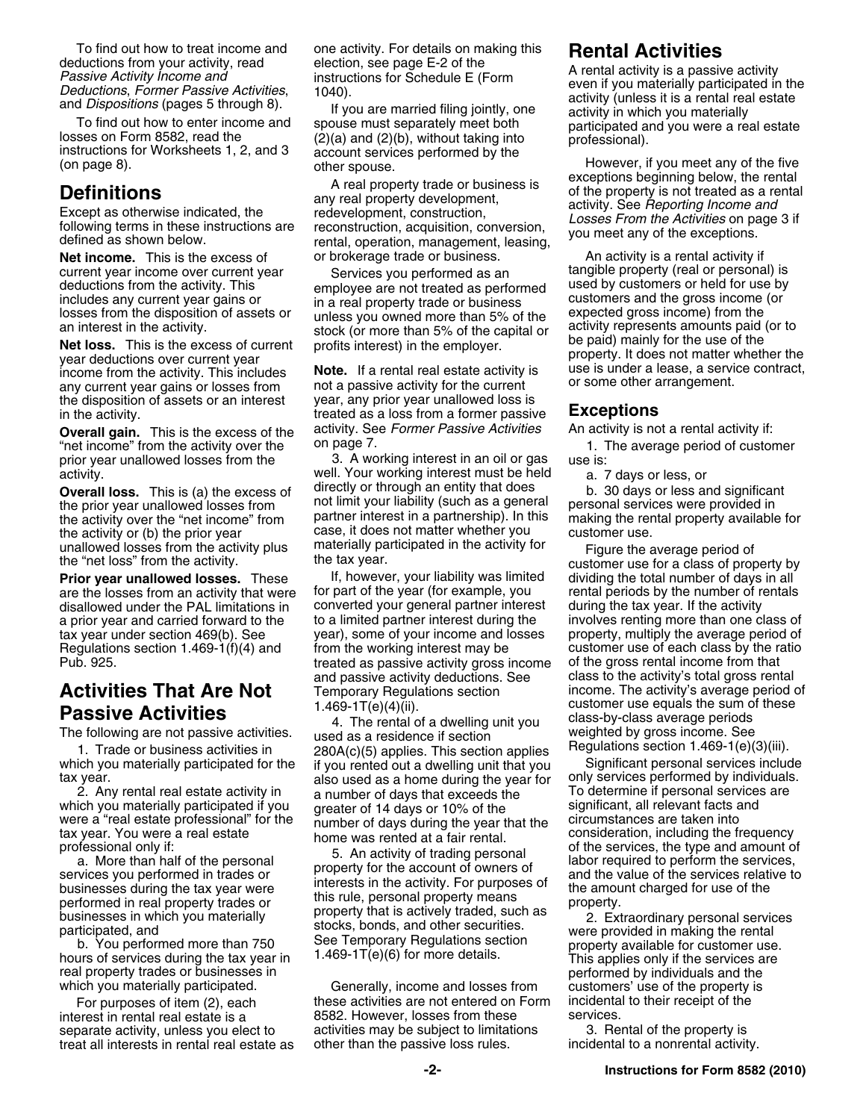current year income over current year Services you performed as an tangible property (real or personal) is deductions from the activity. This employee are not treated as performed used by customers or held for use by

the disposition of assets or an interest

"net income" from the activity over the on page 7. 1. The average period of customer<br>prior year unallowed losses from the 3. A working interest in an oil or gas use is:

the activity or (b) the prior year case, it does not matter whether you unallowed losses from the activity plus materially participated in the activity f

a prior year and carried forward to the to a limited partner interest during the<br>tax year under section 469(b). See sthan one of your income and losses

real property trades or businesses in<br>which you materially participated. Generally, income and losses from customers' use of the property is

interest in rental real estate is a  $B582$ . However, losses from these

**Net income.** This is the excess of or brokerage trade or business. An activity is a rental activity if

income from the activity. This includes **Note.** If a rental real estate activity is use is under a lease, a serviany current year gains or losses from not a passive activity for the current or some other arrangement. the d in the activity. treated as a loss from a former passive **Exceptions Overall gain.** This is the excess of the activity. See *Former Passive Activities* An activity is not a rental activity if:<br>"net income" from the activity over the on page 7.

prior year unallowed losses from the 3. A working interest in an oil or gas use is: activity. well. Your working interest must be held a. 7 days or less, or **Overall loss.** This is (a) the excess of directly or through an entity that does b. 30 days or less and significant the prior vear unallowed losses from bot limit your liability (such as a general personal services were p the prior year unallowed losses from not limit your liability (such as a general personal services were provided in<br>the activity over the "net income" from partner interest in a partnership). In this making the rental prop the activity over the "net income" from partner interest in a partnership). In this making the renthe activity or (b) the prior year case, it does not matter whether you customer use.

**Prior year unallowed losses.** These If, however, your liability was limited dividing the total number of days in all are the losses from an activity that were for part of the year (for example, you rental periods by the n are the losses from an activity that were for part of the year (for example, you rental periods by the number of rentals disallowed under the PAL limitations in converted your general partner interest during the tax year. disallowed under the PAL limitations in converted your general partner interest during the tax year. If the activity<br>a prior year and carried forward to the to a limited partner interest during the involves renting more th tax year under section 469(b). See year), some of your income and losses property, multiply the average period of Regulations section 1.469-1(f)(4) and from the working interest may be customer use of each class by the ratio Pub. 925. treated as passive activity gross income of the gross rental income from that and passive activity deductions. See class to the activity's total gross rental **Activities That Are Not** Temporary Regulations section income. The activity's average period on **Regulations Conserversity Conserversity Activities Conserversity Conserversity Conserversity Conserversity C** 

1. Trade or business activities in 280A(c)(5) applies. This section applies<br>which you materially participated for the if you rented out a dwelling unit that you Significant personal services include tax year.<br>also used as a home during the year for only services performed by individuals.<br>2. Any rental real estate activity in a number of days that exceeds the To determine if personal services are a number of days that exceeds the To determine if personal services<br>oreater of 14 days or 10% of the Significant, all relevant facts and which you materially participated if you significant, all relevant facts and greater of 14 days or 10% of the significant, all relevant facts and were a "real estate professional" for the number of days during the year th

were a "real estate professional" for the mumber of days during the year that the circumstances are taken into<br>professional only if:<br>professional professional and the frequency<br>and the personal and the personal and the per

Generally, income and losses from customers' use of the property is<br>ise activities are not entered on Form incidental to their receipt of the For purposes of item (2), each these activities are not entered on Form incidental<br>exact in rental to the state is a state of the services. separate activity, unless you elect to activities may be subject to limitations 3. Rental of the property is treat all interests in rental real estate as other than the passive loss rules. incidental to a nonrental activity.

To find out how to treat income and<br>
Passive Activity, read election, see ago E-2 of the<br>
dealuctions for Schedule E (Form<br>
Passive Activity is a passive activity<br>
Passive Activity income and<br>
Deductions, Former Passive Ac

deductions from the activity. This employee are not treated as performed<br>includes any current year gains or<br>losses from the disposition of assets or<br>an interest in the activity.<br>**Net loss.** This is the excess of current<br>ye

unallowed losses from the activity plus materially participated in the activity for<br>the "net loss" from the activity.<br>**Prior vear unallowed losses.** These lf, however, your liability was limited dividing the total number o and passive activity deductions. See class to the activity's total gross rental<br>Temporary Regulations section \_\_\_\_\_\_\_\_\_\_\_\_\_income. The activity's average period of **Passive Activities**  $\begin{array}{l} \text{1.469-1T(e)(4)(iii).} \\ \text{280A(c)(5) applies. This section applies the sum of these weights, and the sum of these weights, and the sum of these weights, and the sum of these weights, and the sum of these weights, and the sum of these weights, and the sum of these weights, and the sum of these weights, and the sum of these weights. \\ \text{1.469-120A(c)(5) applies. This section applies the sum of these weights, and the sum of these weights, and the sum of these weights, and the sum of these weights, and the sum of these weights, and the sum of these weights, and the sum of these weights, and the sum of these weights, and the sum of these weights, and the sum of these weights, and the sum$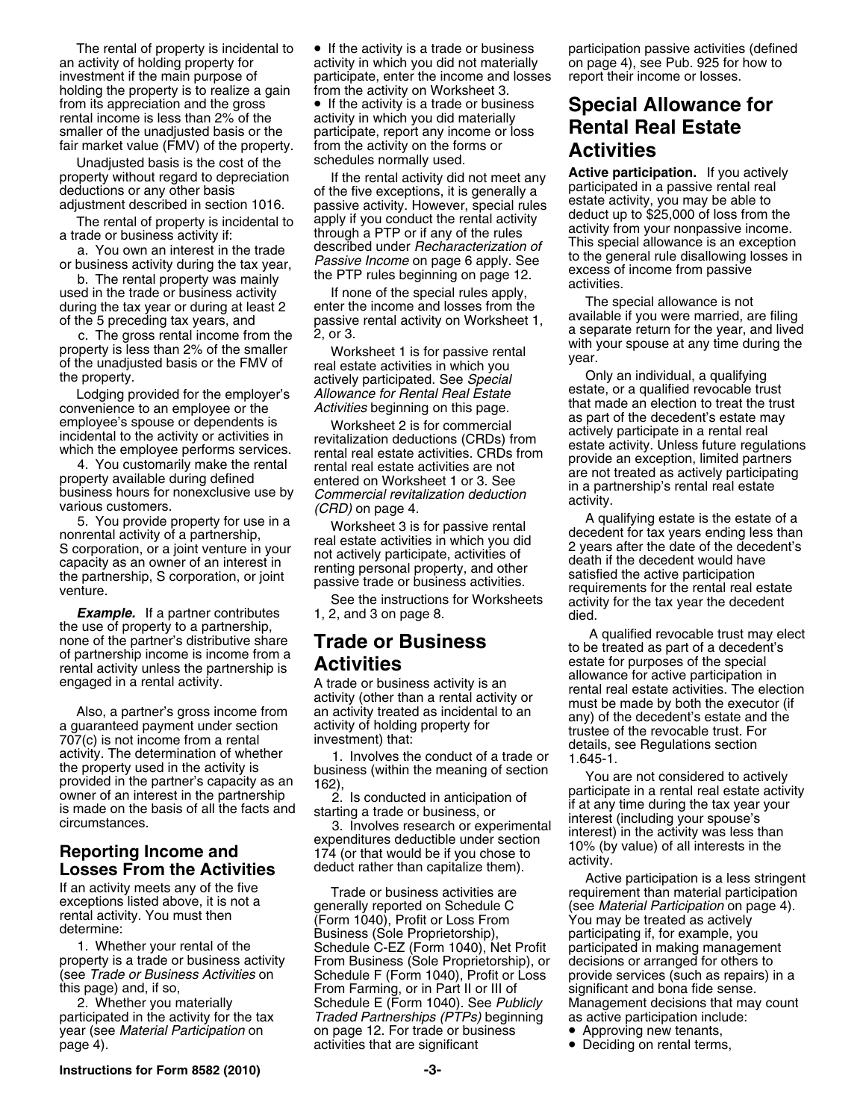holding the property is to realize a gain from the activity on Worksheet 3. smaller of the unadjusted basis or the participate, report any income or loss fair market value (FMV) of the property. **from** the activity on the forms or

Unadjusted basis is the cost of the

The rental of property is incidental to  $\bullet$  If the activity is a trade or business participation passive activities (defined an activity of holding property for activity in which you did not materially on page 4), see Pub activity in which you did not materially investment if the main purpose of participate, enter the income and losses report their income or losses. from its appreciation and the gross **•** If the activity is a trade or business **Special Allowance for**<br>rental income is less than 2% of the activity in which you did materially<br>emallar of the unadjusted basis or the partic fair market value (FMV) of the property. from the activity on the forms or **Activities**

1. Whether your rental of the Schedule C-EZ (Form 1040), Net Profit participated in making management property is a trade or business activity From Business (Sole Proprietorship), or decisions or arranged for others to property is a trade or business activity From Business (Sole Proprietorship), or decisions or arranged for others to<br>(see *Trade or Business Activities* on Schedule F (Form 1040). Profit or Loss provide services (su (see *Trade or Business Activities* on Schedule F (Form 1040), Profit or Loss provide services (such as repairs) in a From Farming, or in Part II or III of significant and bona fide sense. 2. Whether you materially Schedule E (Form 1040). See *Publicly* Management decisions that may count participated in the activity for the tax *Traded Partnerships (PTPs)* beginning as active participation include: year (see *Material Participation* on on page 12. For trade or business • Approving new tenants, page 4). The contract activities that are significant **•** Deciding on rental terms,

property without regard to depreciation of the rental activity did not meet any **Active participated** in a passive rental real eductions or any other basis and eductions of any different pay is incidental to apply if you c

property.<br>Lodging provided for the employer's a*llowance for Rental Real Estate* estate, or a qualified revocable trust Lodging provided for the employer's allowance for Rental Real Estate estate, or a qualified revocable convenience to an employee or the activities beginning on this page.<br>
employee is spouse or dependents is worksheet 2 is for commercial<br>
incidental to the activity or activities in<br>
which the employee performs services.<br>
T

5. You provide property for use in a<br>
monrental activity of a partnership,<br>
Scorporation, or a joint venture in your<br>
Scorporation, or a joint venture in your<br>
mot actively participate, activities of<br>
the partnership, S co

the use of property to a partnership in come for the partners distributive share **Trade or Business** to be treated as part of a deceleration in ending the state of partners in come form an ending of partners in ending of

- 
-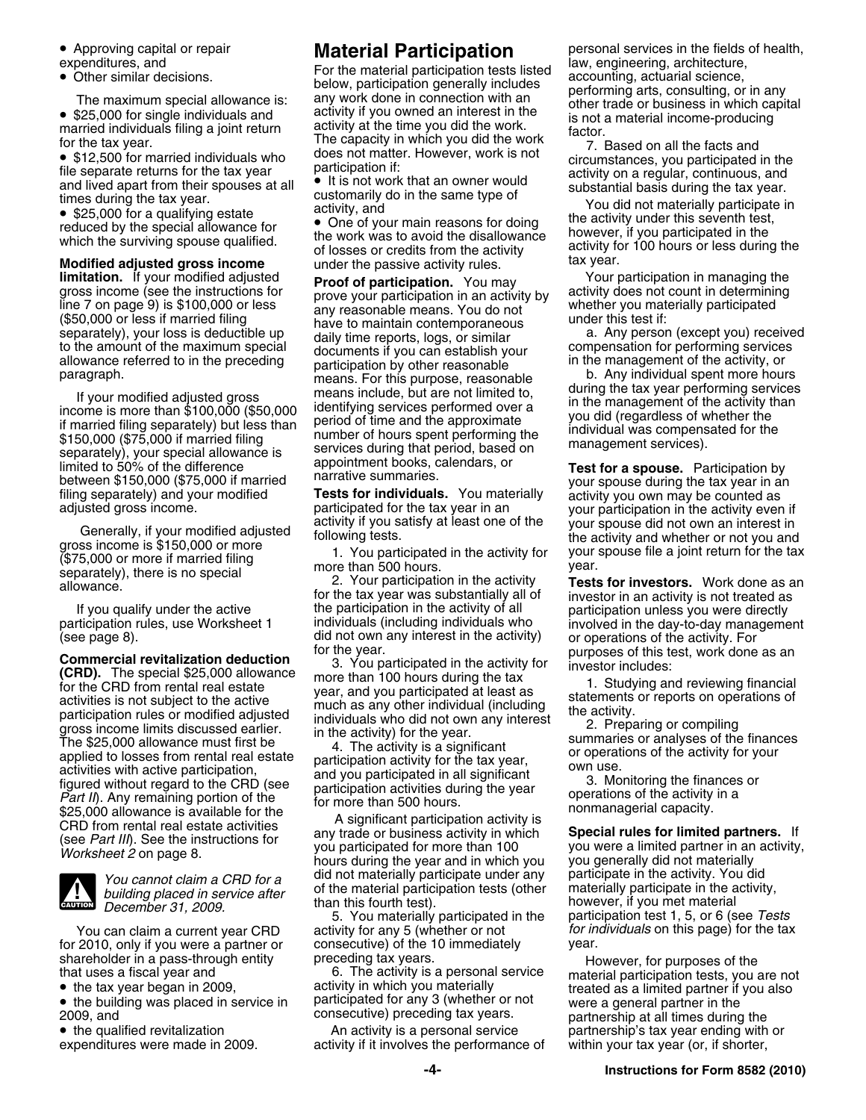• Approving capital or repair

• \$25,000 for single individuals and

• \$12,500 for married individuals who circumstances, you participated in the file separate returns for the tax year participation if:<br>and lived apart from their spouses at all  $\bullet$  It is not work that an owner would substa

 $\bullet$  \$25,000 for a qualifying estate the activity under this seventh test,  $\bullet$  One of your main reasons for doing the activity under this seventh test, if you participated in the work was to avoid the disallowance howeve

**Modified adjusted gross income** under the passive activity rules. The tax year.<br>**Ilmitation.** If your modified adjusted **proof of participation** You may Your participation in managing the

If your modified adjusted gross<br>
in the management of the activity hand the activity than interesting services performed filing separately) but less than<br>
if married filing separately) but less than<br>
services between the

(see page 8).<br> **Commercial revitalization deduction**<br> **Compercial revitalization deduction**<br> **CRID.** The special \$25,000 allowance<br> **CRID.** The special set, work done as an<br>
for the CRID from rental read estate<br>
for the C



for 2010, only if you were a partner or consecutive) of the 1<br>shareholder in a pass-through entity preceding tax years.

• the tax year began in 2009,

• the building was placed in service in participated for any 3 (whether or not were a general partner in the consecutive) preceding tax years.<br>2009, and example onsecutive) preceding tax years. partnership at all times dur

• the qualified revitalization

expenditures, and law, engineering, architecture,<br>• Other similar decisions. The material participation generally includes are partoming, actuarial science, includes below, participation generally includes<br>The maximum special allowance is: any work done in connection with an other trade or business in which capital<br>\$25,000 for single individuals and activity if you owned an interest in • \$25,000 for single individuals and activity if you owned an interest in the is not a material income-producing married individuals filing a joint return activity at the time you did the work.<br>For the tax year. The capaci for the tax year. The capacity in which you did the work 7. Based on all the facts and does not matter. However, work is not •

and lived apart from their spouses at all <br>times during the tax year.<br>
• \$25,000 for a qualifying estate<br>
reduced by the special allowance for<br>
• One of your main reasons for doing<br>
• One of your main reasons for doing<br>
th

educed by the special allowance for<br>which the surviving spouse qualified.<br>which the surviving spouse qualified. The work was to avoid the disallowance<br>of losses or credits from the activity or 100 hours or less during the

**Imitation.** If your modified adjusted<br>
gross income (see the instructions for<br>
line 7 on page 9) is \$100,000 or less<br>
(\$50,000 or less if married filing<br>
(\$50,000 or less if married filing<br>
to the amount of the maximum sp

If you qualify under the active the participation in the activity of all participation unless you were directly<br>participation rules, use Worksheet 1 individuals (including individuals who involved in the day-to-day managem

5. You materially participated in the participation test 1, 5, or 6 (see *Tests* You can claim a current year CRD activity for any 5 (whether or not *for individuals* on this page) for the tax <br>2010, only if you were a partner or consecutive) of the 10 immediately year.

activity in which you materially endoting treated as a limited partner if you also<br>participated for any 3 (whether or not supple a general partner in the  $\bullet\,$  the building was placed in service in  $\qquad\,$  participated for any 3 (whether or not  $\qquad\,$  were a general partner in the

expenditures were made in 2009. activity if it involves the performance of within your tax year (or, if shorter,

• Approving capital or repair **Material Participation** personal services in the fields of health,<br>expenditures, and **Expertisipation in the material participation tests** listed law, engineering, architecture,

participation rules, use Worksheet 1 individuals (including individuals who involved in the day-to-day management<br>(see page 8). die or the did not own any interest in the activity) or operations of the activity. For

You cannot claim a CRD for a<br>building placed in service after of the material participation tests (other materially participate in the activity,<br>December 31, 2009. In this fourth test). The material participation test of t

shareholder in a pass-through entity preceding tax years.<br>
that uses a fiscal year and that uses a fiscal year and that uses a fiscal year and that uses a fiscal year and<br>
the tax year began in 2009, activity in which you An activity is a personal service equal networship's tax year ending with or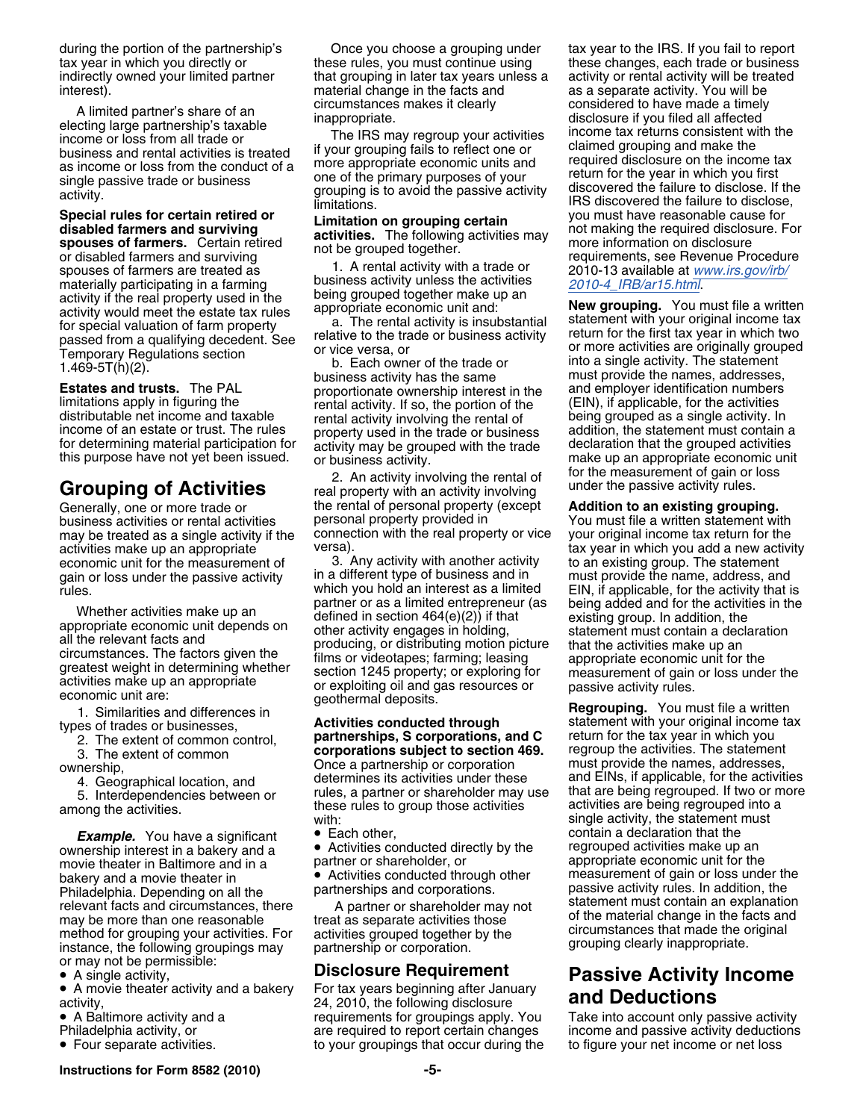income or loss from all trade or<br>business and rental activities is treated if your grouping fails to reflect one or claimed grouping and make the<br>experience is the senature of a more appropriate economic units and required example and a income or loss from the conduct of a more appropriate economic units and required disclosure on the income tax as income or loss from the conduct of a more appropriate economic units and return for the year i

Special rules for certain retired or<br>
disabled farmers and surviving decivities. The following activities may<br>
spouses of farmers and surviving in equiver and the space of term inferred discoluse or disabled farmers and s

**Estates and trusts.** The PAL proportionate ownership interest in the and employer identification numbers<br>
limitations apply in figuring the rental activity. If so, the portion of the (EIN), if applicable, for the activiti limitations apply in figuring the rental activity. If so, the portion of the (EIN), if applicable, for the activities<br>distributable net income and taxable rental activity involving the rental of being grouped as a single a income of an estate or trust. The rules property used in the trade or business addition, the statement must contain a<br>for determining material participation for activity may be grouped with the trade declaration that the g for determining material participation for activity may be grouped with the trade declaration that the grouped activities this purpose have not yet been issued. or business activity.

activities make up an appropriate versa).<br>economic unit for the measurement of 3. Any activity with another activity

- 
- 

**Example.** You have a significant • Each other, contain a declaration that the contain a declaration that the contain interest in a bakery and a • Activities conducted directly by the regrouped activities make up an ownership interest in a bakery and a **Conducted directly by the** regrouped activities make up an ownership interest in a bakery and a movie theater in Baltimore and in a partner or shareholder, or appropriate economic unit for the bakery and a movie theater in **Exercise Conducted through other** measurement of gain or loss under the bakery and a movie theater in **by a movie theater in** batter partnerships and corporations. Philadelphia. Depending on Philadelphia. Depending on all the relevant facts and circumstances, there A partner or shareholder may not statement must contain an explanation may be more than one reasonable treat as separate activities those of the material change in the facts and method for grouning your activities  $\frac{1}{2}$  critical changes of the material change in the facts and method for g method for grouping your activities. For activities grouped together by the original activities that made the c<br>instance, the following groupings may partnership or corporation. The grouping clearly inappropriate. or may not be permissible:

• A single activity,

• A movie theater activity and a bakery For tax years beginning after January

• A Baltimore activity and a

- 
- Four separate activities.

during the portion of the partnership's Once you choose a grouping under tax year to the IRS. If you fail to report tax year in which you directly or these rules, you must continue using these changes, each trade or busine indirectly owned your limited partner that grouping in later tax years unless a activity or rental activity will be treated interest). The same interest interest interest and as a separate activity. You will be a separate activity. You will be

as income of loss non the conduct of a<br>single passive trade or business on the primary purposes of your return for the year in which you first<br>limitations. If the passive activity discovered the failure to disclose. If the

rental activity involving the rental of being grouped as a single activity. In<br>property used in the trade or business addition, the statement must contain a

for the measurement of gain or loss 2. An activity involving the rental of **Grouping of Activities** under the passive activity rules. real property with an activity involving Generally, one or more trade or **the rental of personal property (except Addition to an existing grouping.**<br>business activities or rental activities personal property provided in The Mou must file a written statement wi business activities or rental activities personal property provided in You must file a written statement with may be treated as a single activity if the connection with the real property or vice your original income tax return for the activity activity versa).

economic unit for the measurement of a start of the stativity with another activity to an existing group. The statement<br>The different type of busing the manners and the must provide the name, address, and in the state of t gain or loss under the passive activity in a different type of business and in must provide the name, address, and<br>rules. FIN, if applicable, for the activity that is Trules.<br>
Whether activities make up an<br>
appropriate economic unit depends on<br>
appropriate economic unit depends on<br>
all the relevant facts and<br>
defined in section 164(e)(2)) if that<br>
all the relevant facts and<br>
circumstanc

ownership,<br>
4. Geographical location, and<br>
5. Interdependencies between or<br>
among the activities.<br>
among the activities.<br>
among the activities.<br>
among the activities.<br>
among the activities.<br>
among the activities.<br>
among th

• Activities conducted through other

• A move theater activity and a bakery **For tax years beginning after bandary**<br>activity, 24, 2010, the following disclosure **and Deductions**<br>• A Baltimore activity and a requirements for groupings apply. You Take into acco • A Baltimore activity and a requirements for groupings apply. You Thiladelphia activity, or are required to report certain changes to your groupings that occur during the to figure your net income or net loss

these changes, each trade or business A limited partner's share of an circumstances makes it clearly<br>electing large partnership's taxable inappropriate.<br>income or loss from all trade or The IRS may regroup your activities income tax returns consistent with the

this purpose have not yet been issued. or business activity.<br>An activity involving the rental of for the measurement of gain or loss

1. Similarities and differences in<br>types of trades or businesses,<br>2. The extent of common control,<br>3. The extent of common<br>ownership or corporations subject to section 469.<br>Once a partnership or corporation<br>ownership or co

## **Disclosure Requirement Passive Activity Income**<br>For tax years beginning after January **Panel Reductions**

are required to report certain changes income and passive activity deductions

**Instructions for Form 8582 (2010) -5-**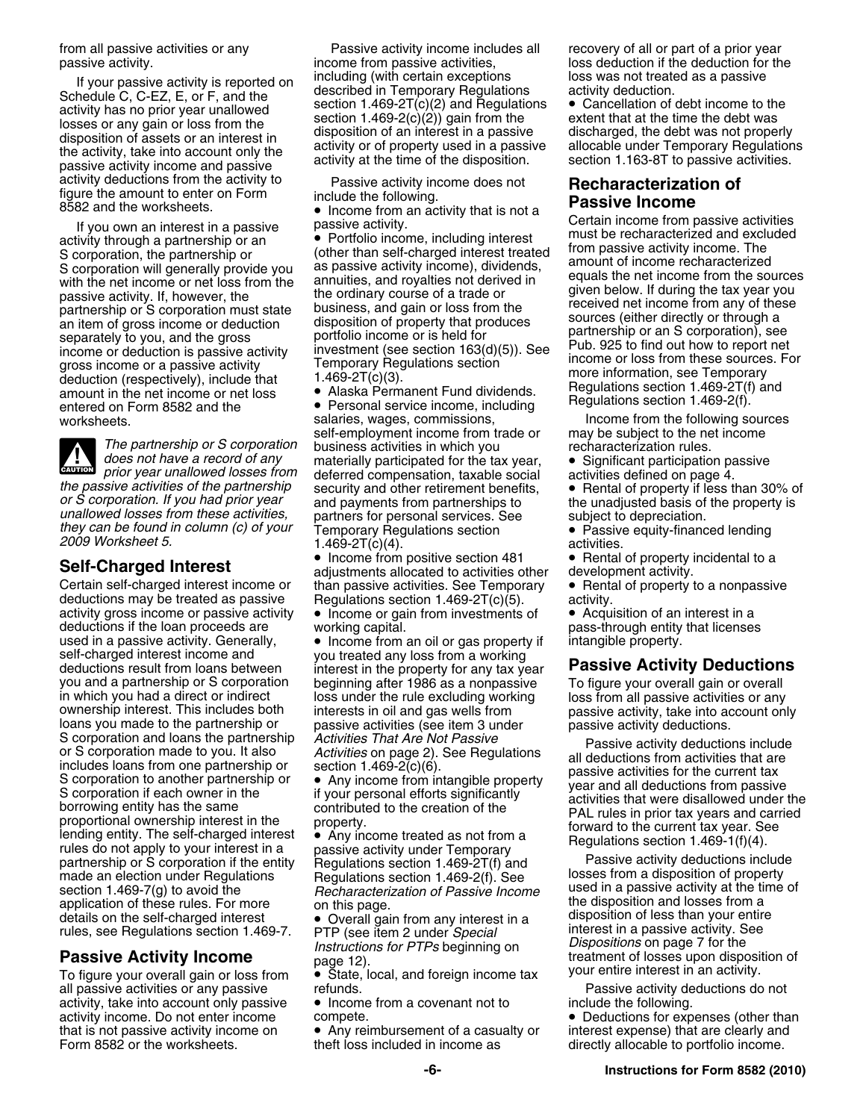If your passive activity is reported on<br>
Schedule C, C-EZ, E, or F, and the<br>
activity has no prior year unallowed<br>
losses or any gain or loss from the<br>
disposition of assets or an interest in<br>
the activity, take into accou activity deductions from the activity to Passive activity income does not **Recharacterization of figure the amount to enter on Form include the following.**<br>8582 and the worksheets. **Passive Income •** Income from an act

**CAUTION** *prior year unallowed losses from* **! Example 3** prior year unallowed losses from<br>the passive activities of the partnership<br>or S corporation. If you had prior year<br>unallowed losses from these activities,<br>they can be found in column (c) of your<br>they can be fo

Certain self-charged interest income or than passive activities. See Temporary • Rental of property to a nonpassive<br>deductions may be treated as passive Regulations section 1.469-2T(c)(5). activity. activity gross income or passive activity  $\bullet$  Income or gain from investments of  $\bullet$  Acquisition of an interest in a deductions if the loan proceeds are vorking capital. deductions if the loan proceeds are working capital. pass-through entity that licenses<br>used in a passive activity. Generally,  $\bullet$  Income from an oil or gas property if intangible property. self-charged interest income and you treated any loss from a working<br>deductions result from loans between interest in the property for any tax ve deductions result from loans between interest in the property for any tax year **Passive Activity Deductions** you and a partnership or S corporation<br>
in which you had a direct crimic in which you had a direct loss under the rule excluding working owership interest. This includes both interests in oil and gas wells from a passive partnership or S corporation if the entity Regulations section 1.469-2T(f) and Passive activity deductions include made an election under Regulations Regulations section 1.469-2(f). See losses from a disposition of propert section 1.469-7(g) to avoid the *Recharacterization of Passive Income* used in a passive activity at the time of application of *Passive Income* used in a passive activity at the time of application of these rules. For mor application of these rules. For more on this page.<br>
details on the self-charged interest • Overall gain from any interest in a<br>
rules, see Regulations section 1.469-7. PTP (see item 2 under Special interest in a passive ac

all passive activities or any passive refunds. Passive activity deductions do not activity, take into account only passive • Income from a covenant not to include the following. that is not passive activity income on • Any reimbursement of a casualty or interest expense) that are clearly and Form 8582 or the worksheets. theft loss included in income as directly allocable to portfolio income.

from all passive activities or any **Passive activity income includes all** recovery of all or part of a prior year<br>passive activity income from passive activities, boss deduction if the deduction for th

worksheets. salaries, wages, commissions, such the following sources<br>self-employment income from trade or may be subject to the net income self-employment income from trade or may be subject to the net<br>The partnership or S corporation business activities in which you recharacterization rules.<br>does not have a record of any materially participated for the tax y *materially participated for the tax year,* • Significant participation passive

• Income from positive section 481 **Income from positive section 481 • Rental of property incidental to a Self-Charged Interest**<br>Certain self-charged interest income or than passive activities. See Temporary • Rental of property to a nonpassiv Regulations section  $1.469-2T(c)(5)$ . activity.

 $\bullet$  Income from an oil or gas property if intangible property.

loss deduction if the deduction for the

Solution and interest tend in the net in passive activity that is not a certain income from passive activity<br>
If you own an interest in a passive scribing interest<br>
Scorporation, the partnership or<br>
Scorporation, the partn

- 
- 

*Instructions for PTPs* beginning on *Dispositions* on page 7 for the<br>Passive Activity Income page 12).<br>To figure your overall gain or loss from • State, local, and foreign income tax your entire interest in an activity.

activity income. Do not enter income compete. • Deductions for expenses (other than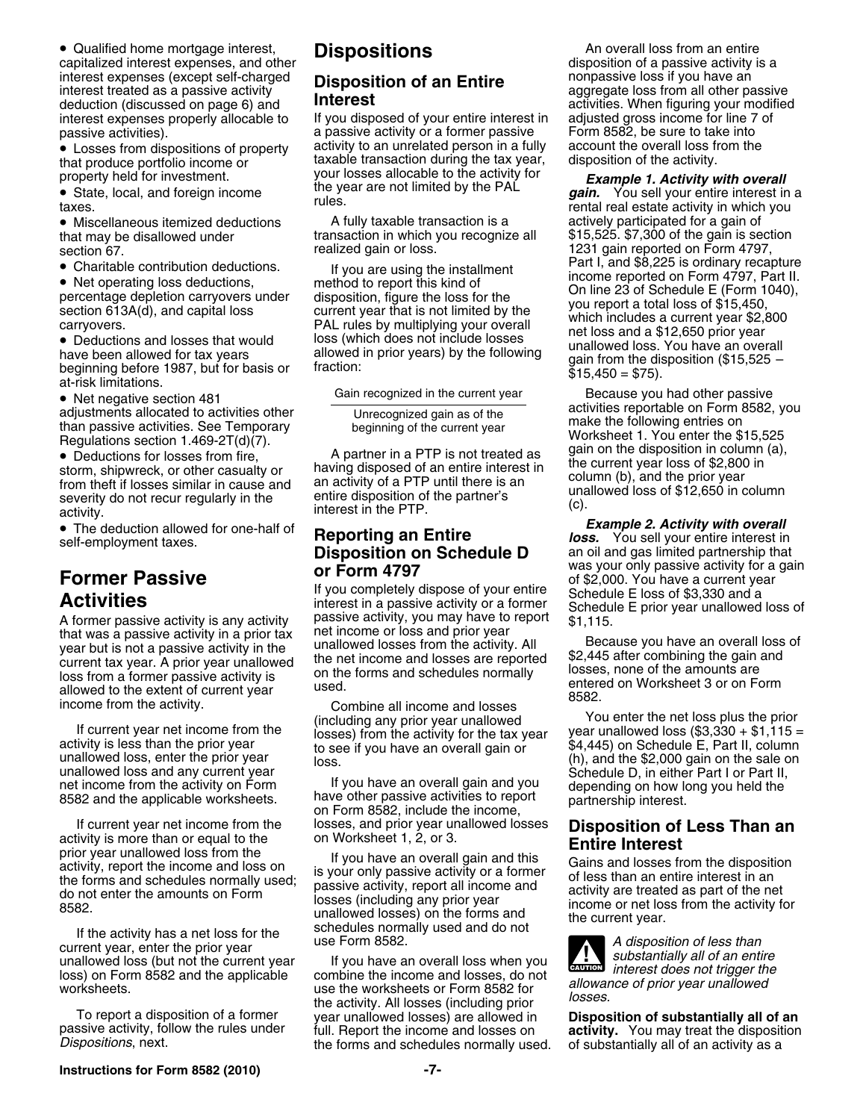• Qualified home mortgage interest, **Dispositions** An overall loss from an entire and the **Dispositions** An overall loss from an entire • Qualified home mortgage interest, **Dispositions and a particular expenses**, and other **Dispositions a disposition** of a passive activity is a **disposition** of a passive activity is a interest expenses (except self-charged **Disposition of an Entire** interest treated as a passive activity **Disposition of an Entire** interest treated as a passive activity **and an Entire aggregate loss from all other passiv** deduction (discussed on page 6) and **Interest** activities. When figuring your modified interest expenses properly allocable to If you disposed of your entire interest in adjusted gross income for line 7 of

• Deductions and losses that would loss (which does not include losses<br>have been allowed for tax years allowed in prior years) by the following unallowed loss. You have an overall<br>beginning before 1987, but for basis or fr

• Deductions for losses from fire,  $\begin{array}{ccc}\n\bullet & A \text{ partner in a PTP is not treated as} \\
\bullet & B \text{ pattern, the number of the current, the number of the current, the number of the current, the number of the current, the number of the current, the number of the current, the number of the current, the number of the current, the number of the current, the number of the current, the number of the current, the number of the current, the number of the current, the number of the current, the number of the current, the number of the current, the number of the current, the number of the current, the number of the current, the number of the current, the number of the current, the number of the current, the number of the current, the number of the current, the number of the current,$ 

A former passive activity is any activity<br>
that was a passive activity in a prior tax<br>
year but is not a passive activity in the<br>
year but is not a passive activity in the<br>
current tax year. A prior year unallowed best fro

If current year net income from the losses, and prior year unallowed losses **Disposition of Less Than an**<br>activity is more than or equal to the on Worksheet 1, 2, or 3.<br>prior year unallowed loss from the income and loss on

passive activities).<br>• Losses from dispositions of property activity to an unrelated person in a fully account the overall loss from the • Losses from dispositions of property activity to an unrelated person in a fully account the overall loss from the that produce portfolio income or the taxable transaction during the tax year, disposition of the activity. property held for investment. your losses allocable to the activity for **Example 1. Activity with overall**<br>• State, local, and foreign income the year are not limited by the PAL **gain.** You sell your entire interest in

• Miscellaneous itemized deductions A fully taxable transaction is a sactively participated for a gain of

income from the activity.<br>
If current year net income from the the prior<br>
including any prior year unallowed<br>
(including any prior year unallowed<br>
losses) from the activity for the tax year<br>
to see if you have an overall

net income from the activity on Form<br>8582 and the applicable worksheets. Thave other passive activities to report partnership interest.<br>19982, include the income, partnership interest.

For the income and losses from the disposition<br>
activity, report and the set of the forms and schedules normally used;<br>
activity, report all income and<br>
the forms and schedules normally used;<br>
activity are treated as part

loss) on Form 8582 and the applicable combine the income and losses, do not<br>worksheets.<br>To report a disposition of a former the summer wave including prior<br>passive activity, follow the rules under full. Report the income a

**State, local, and foreign income** *gain.* **You sell your entire interest in a rules. The state activity in which you rental real estate activity in which you** that may be disallowed under transaction in which you recognize all \$15,525. \$7,300 of the gain is section<br>section 67. realized gain or loss. 1231 gain reported on Form 4797, 1231 gain reported on Form 4797, • Charitable contribution deductions. If you are using the installment Part I, and \$8,225 is ordinary recapture Charitable contribution deductions. If you are using the installment income reported on Form 4797, Part II.<br>
The contribution of the contributions of the contributions of the contribution of the contribution of the contrib • Net operating loss deductions, method to report this kind of<br>
percentage depletion carryovers under disposition, figure the loss for the Collie 23 of Schedule E (Form 1040),<br>
section 613A(d), and capital loss controllers

• Net negative section 481 Gain recognized in the current year Because you had other passive • Net negative section • Net negative section 481<br>
adjustments allocated to activities other<br>
than passive activities. See Temporary<br>
Regulations section 1.469-2T(d)(7).<br>
• Deductions for losses from fire and partner in a PTP is not treated as

activity.<br>■ Interest in the PTP.<br>The deduction allowed for one-half of **Proporting an Entire From the Conduction allowed for one-half of Reporting an Entire** *Ioss.* You sell your entire interest in The deduction allowed for one-half of the deduction and the porting an Entire<br> **Reporting an Entire** *loss.* You sell your entire interest in<br> **Disposition on Schedule D** an oil and gas limited partnership that<br>
was your o Was your only passive activity for a gain<br> **Form 4797** Was your only passive activity for a gain<br> **Activities** in a passive activity or a former Schedule E loss of \$3,330 and a<br>
interest in a passive activity or a former S

unallowed loss, enter the prior year loss.<br>unallowed loss and any current year loss.<br>net income from the activity on Form lif you have an overall gain and you depending on how long you held the

**CAUTION !**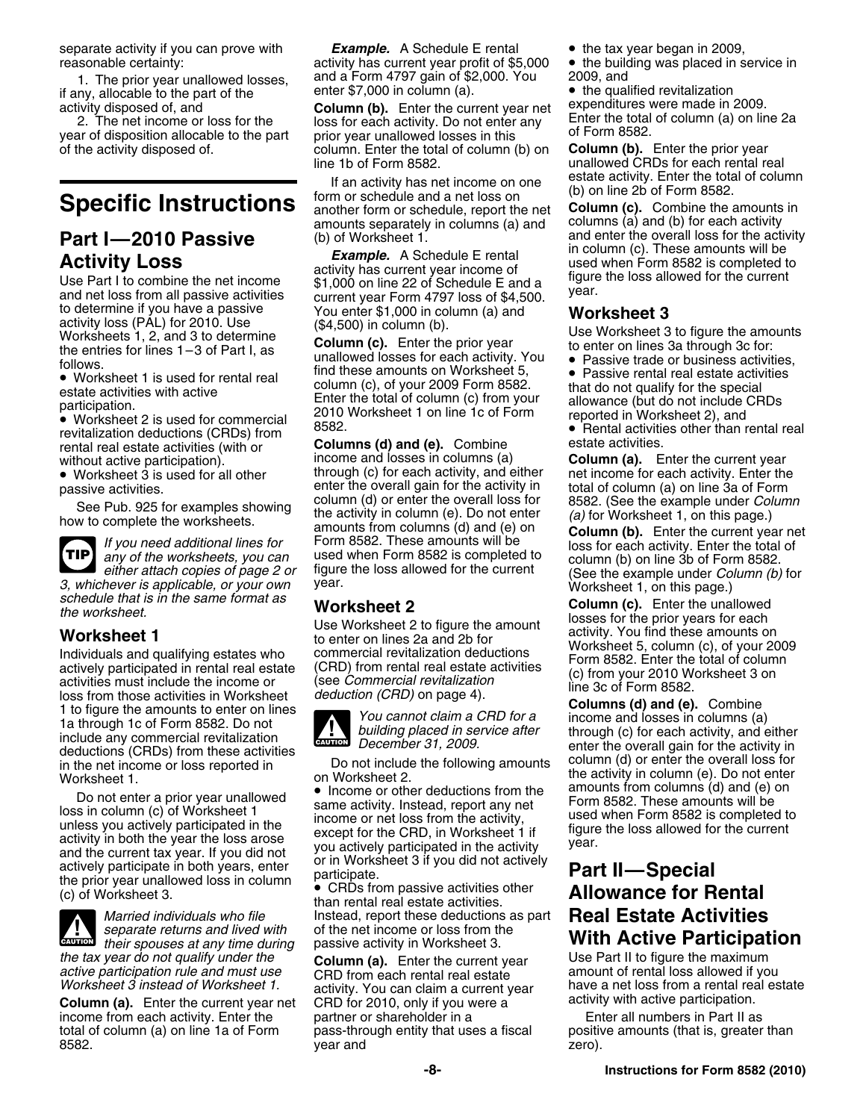if any, allocable to the part of the enter  $\frac{1}{2}$  enter \$7,000 in column (a). • the qualified revitalization<br>activity disposed of and **Column (b)** Enter the current vear net expenditures were made in 2009.

**Part I—2010 Passive** (b) of Worksheet 1. and enter the overall loss for the activity<br> **Activity Loss** Example. A Schedule E rental<br>
Use Part I to combine the net income<br>
Use Part I to combine the net income<br>
of the curren

revitalization deductions (CRDs) from <sup>6332</sup><br>rental real estate activities (with or **Columns (d) and (e).** Combine estate activities.<br>without active participation) **Columners** income and losses in columns (a) **Column (a).** 

• Worksheet 3 is used for all other

**TIP**

3, whichever is applicable, or your own<br>
scheed that is in the same format as<br>
the worksheet 1<br>
Worksheet 1<br>
Worksheet 2<br>
Worksheet 2<br>
Worksheet 2<br>
Worksheet 2<br>
Worksheet 2<br>
Worksheet 2<br>
Morksheet 2<br>
Morksheet 2<br>
Morkshee deductions (CRDs) from these activities<br>in the net income or loss reported in<br>Worksheet 1. The net income or loss reported in the net income or loss reported in<br>Worksheet 2. the activity in column (e). Do not enter

Do not enter a prior year unallowed<br>
loss in column (c) of Worksheet 1<br>
unless you actively participated in the<br>
activity in both the year the loss arose<br>
and the current tax year. If you did not<br>
the prior year unallowed



*active participation rule and must use* CRD from each rental real estate<br>Worksheet 3 instead of Worksheet 1. activity You can claim a current you

**Column (a).** Enter the current year net CRD for 2010, only if you were a current year activity with active participation.<br>income from each activity. Enter the partner or shareholder in a **built and Enter all numbers in Pa** income from each activity. Enter the partner or shareholder in a total of column (a) on line 1a of Form pass-through entity that uses a fiscal positive amounts (that is, greater than

separate activity if you can prove with **Example.** A Schedule E rental • the tax year began in 2009,<br>
reasonable certainty: activity has current year profit of \$5,000 • the building was placed in service in activity has current year profit of \$5,000 1. The prior year unallowed losses, and a Form 4797 gain of \$2,000. You 2009, and<br>ny, allocable to the part of the enter \$7,000 in column (a). <br>• the qualified revitalization

activity disposed of, and **Column (b).** Enter the current year net expenditures were made in 2009. year of disposition allocable to the part prior year unallowed losses in this <sup>of Form 8582</sup>.<br>of the activity disposed of column. Enter the total of column (b) on **Column (b).** Enter the prior year column. Enter the total of column (b) on line 1b of Form 8582. unallowed CRDs for each rental real

If an activity has net income on one estate activity. Enter the total of column<br>
Specific Instructions<br>
another form or schedule, report the net Column (c). Combine the amounts in<br>
amounts separately in columns (a) and col amounts separately in columns (a) and columns (a) and (b) for each activity<br>(b) of Worksheet 1 and enter the overall loss for the activity

Follows.<br>■ Worksheet 1 is used for rental real find these amounts on Worksheet 5, <br>estate activities with active **the secial column (c), of your 2009** Form 8582. Intert do not qualify for the special • Worksheet 1 is used for rental real that the column (c), of your 2009 Form 8582.<br>
estate activities with active that do not qualify for the special<br>
participation. 2010 Worksheet 1 on line 1c of Form pour eported in Work pancipation.<br>• Worksheet 2 is used for commercial 2010 Worksheet 1 on line 1c of Form reported in Worksheet 2), and<br>• Rental activities other than rental real

without active participation). income and losses in columns (a) **Column (a).** Enter the current year<br>• Worksheet 3 is used for all other the through (c) for each activity, and either net income for each activity. Enter the through (c) for each activity, and either<br>enter the overall gain for the activity in passive activities. enter the overall gain for the activity in total of column (a) on line 3a of Form<br>
See Pub. 925 for examples showing<br>
the activity in column (e). Do not enter<br>
the worksheets.<br>
TIP any of the worksheet



*Married individuals who file* Instead, report these deductions as part **Real Estate Activities** *separate returns and lived with* of the net income or loss from the passive activity in Worksheet 3. **With Active Participation**<br>Column (a) Enter the current year Use Part II to figure the maximum

8582. year and zero).

(See the example under *Column (b)* for

• Income or other deductions from the amounts from columns (d) and (e) on

## The prior year unallowed loss in column<br>
(c) of Worksheet 3. **Allowance for Rental**<br>
than rental real estate activities.

*the tax year do not qualify under the* **Column (a).** Enter the current year Use Part II to figure the maximum<br>*active participation rule and must use* CRD from each rental real estate amount of rental loss allowed if you activity. You can claim a current year have a net loss from a rental real estate<br>CRD for 2010, only if you were a current year activity with active participation.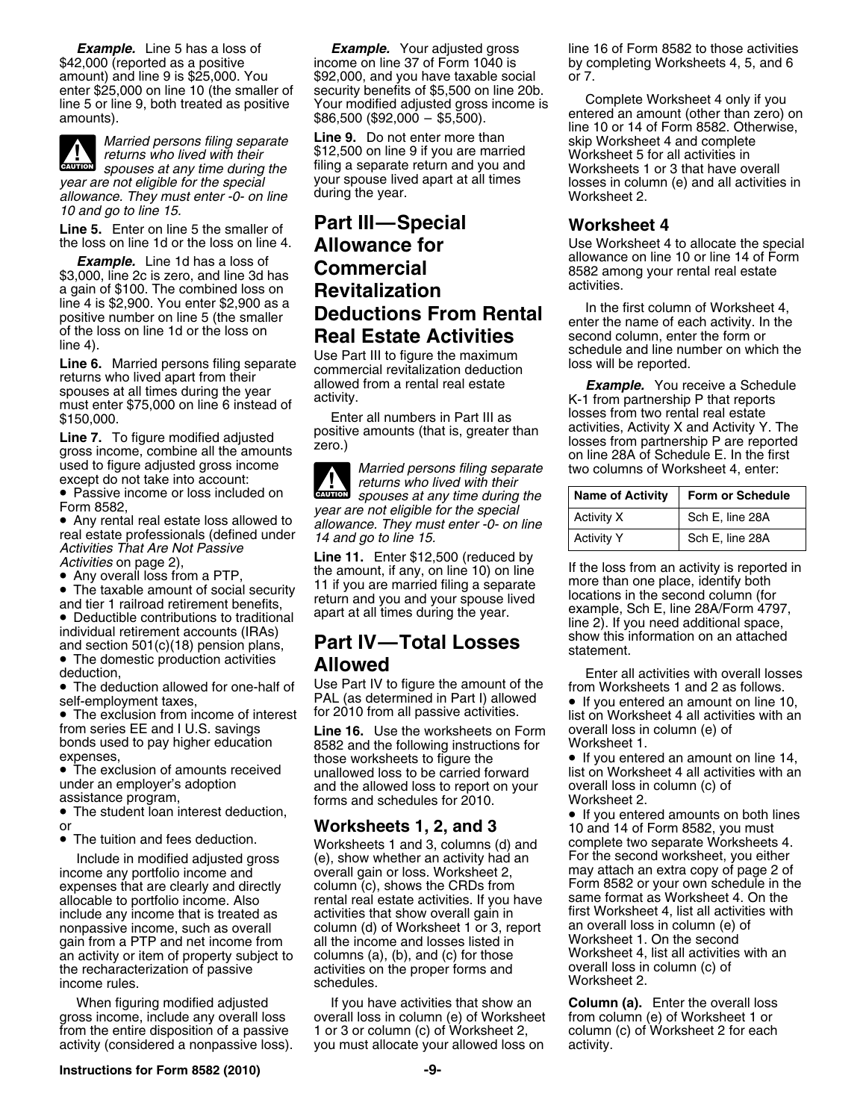

**CAUTION** *allowance. They must enter -0- on line* during the year. The worksheet 2. *10 and go to line 15.*

**Example.** Line 1d has a loss of<br>
\$3,000, line 2c is zero, and line 3d has<br>
a gain of \$100. The combined loss on<br>
iline 4 is \$2,900. You enter \$2,900 as a<br>
positive number on line 5 (the smaller<br>
of the loss on line 1d or

spouses at all times during the year<br>must enter \$75,000 on line 6 instead of activity.<br>K-1 from partnership P that reports<br>form two rental real estate<br>state<br>losses from two rental real estate

gross income, combine all the amounts<br>used to figure adjusted gross income<br>except do not take into account: *returns who lived with their*<br>returns who lived with their

• Passive income or loss included on

• Any rental real estate loss allowed to allowance. They must enter -0- on line<br>
real estate professionals (defined under  $\begin{array}{c|c} 14 \text{ and go to line 15.} \\ \text{Activity 12,500 (reduced by  
Activities on page 2), \\ \bullet \text{ Any overall loss from a PTP} \\ \bullet \text{ Any overall loss from a PTP} \end{array}$ 

and tier 1 railroad retirement benefits,<br>
apart at all times during the year.<br>
Letter and the second column (tor<br>
example, Sch E, line 28A/Form 4797,<br>
line 2). If you need additional space,

• The domestic production activities

• The deduction allowed for one-half of

from series EE and I U.S. savings **Line 16.** Use the worksheets on Form overall loss in column (e) of bonds used to pay higher education 8582 and the following instructions for Worksheet 1.<br>expenses, expenses, those worksheets to figure the **e** if you enter

• The student loan interest deduction, •

• The tuition and fees deduction.

expenses that are clearly and directly column (c), shows the CRDs from Form 8582 or your own schedule in the allocable to portfolio income. Also exercial real estate activities. If you have same format as Worksheet 4. On t include any income that is treated as activities that show overall gain in first Worksheet 4, list all activiti<br>nonpassive income, such as overall column (d) of Worksheet 1 or 3, report an overall loss in column (e) of nonpassive income, such as overall column (d) of Worksheet 1 or 3, report an overall loss in column (e) gain from a PTP and net income from all the income and losses listed in gain from a PTP and net income from all the income and losses listed in The Worksheet 1. On the second<br>an activity or item of property subject to columns (a), (b), and (c) for those The Worksheet 4, list all activities wit an activity or item of property subject to columns (a), (b), and (c) for those Worksheet 4, list all activitie<br>the recharacterization of passive activities on the proper forms and overall loss in column (c) of the recharacterization of passive income rules. **Worksheet 2.** income rules. Worksheet 2.

gross income, include any overall loss overall loss in column (e) of Worksheet from the entire disposition of a passive 1 or 3 or column (c) of Worksheet 2, column (c) of Worksheet 2 for each activity (considered a nonpassive loss). you must allocate your allowed loss on activity.

**Example.** Line 5 has a loss of **Example.** Your adjusted gross line 16 of Form 8582 to those activities  $$42,000$  (reported as a positive income on line 37 of Form 1040 is by completing Worksheets 4, 5, and 6 amount) and line 9 is \$25,000. You  $$92,000$ , and you have taxable social or 7.<br>enter \$25,000 on line 10 (the smaller of security benefits of \$5,500 on line 20b. enter \$25,000 on line 10 (the smaller of security benefits of \$5,500 on line 20b.<br>line 5 or line 9, both treated as positive Your modified adjusted gross income is complete Worksheet 4 only if you<br>\$86,500 (\$92,000 - \$5,500

*returns who lived with their* \$12,500 on line 9 if you are married Worksheet 5 for all activities in<br>spouses at any time during the filing a separate return and you and Worksheets 1 or 3 that have over *spouses at any time during the* filing a separate return and you and worksheets 1 or 3 that have overall<br>Figure the special your spouse lived apart at all times losses in column (e) and all activities

# **Line 5.** Enter on line 5 the smaller of **Part III—Special Worksheet 4**

 $\frac{1}{\text{Cautron}}$ **spouses at any time during the** Form 8582,<br>• Any rental real estate loss allowed to allowance. They must enter -0- on line

## • The domestic production activities **Allowed** enter all activities with overall losses deduction,

Use Part IV to figure the amount of the from Worksheets 1 and 2 as follows. self-employment taxes,<br> **PAL** (as determined in Part I) allowed • If you entered an amount on line 10,<br>
• The exclusion from income of interest for 2010 from all passive activities.<br>
list on Worksheet 4 all activities with

those worksheets to figure the • If you entered an amount on line 14,<br>unallowed loss to be carried forward bist on Worksheet 4 all activities with an • The exclusion of amounts received unallowed loss to be carried forward list on Worksheet 4 all activities with an under an employer's adoption and the allowed loss to report on your overall loss in column (c) of assistance program, forms and schedules for 2010. Worksheet 2.

Worksheets 1 and 3, columns (d) and Include in modified adjusted gross (e), show whether an activity had an For the second worksheet, you either rental real estate activities. If you have same format as Worksheet 4. On the<br>activities that show overall gain in state Worksheet 4, list all activities with

When figuring modified adjusted If you have activities that show an **Column (a).** Enter the overall loss If you have activities that show an **Column (e)** of Worksheet 1 or

by completing Worksheets 4, 5, and 6

*Line 10* or 14 of Form 8582. Otherwise,<br>Married persons filing separate Line 9. Do not enter more than skip Worksheet 4 and complete year are not eligible for the special your spouse lived apart at all times losses in column (e) and all activities in<br>allowance They must enter -0- on line during the year.

the loss on line 1d or the loss on line 4. **Allowance for** Use Worksheet 4 to allocate the special<br>**Example** Line 1d bas a loss of

Finder all numbers in Part III as losses from two rental real estate<br>
\$150,000.<br>
Line 7. To figure modified adjusted positive amounts (that is, greater than losses from partnership P are reported<br>
gross income, combine all

| Form or Schedule<br><b>Name of Activity</b> |                 |
|---------------------------------------------|-----------------|
| Activity X                                  | Sch E, line 28A |
| <b>Activity Y</b>                           | Sch E, line 28A |

Activities on page 2),<br>
• Any overall loss from a PTP,<br>
• The taxable amount of social security in 11 if you are married filing a separate more than one place, identify both **•** The taxable amount of social security in the individual retirement accounts (IRAs)<br>and section 501(c)(18) pension plans, **Part IV—Total Losses** show this information on an attached

• The exclusion from income of interest for 2010 from all passive activities. list on Worksheet 4 all activities with an

• If you entered amounts on both lines<br>10 and 14 of Form 8582, you must or **Worksheets 1, 2, and 3** 10 and 14 of Form 8582, you must<br>• The tuition and fees deduction. Worksheets 1 and 3 columns (d) and complete two separate Worksheets 4. income any portfolio income and income and incore in the section or loss. Worksheet 2, income any attach an extra copy of page 2 of income and income and income and income column (c), shows the CRDs from income Form 8582 o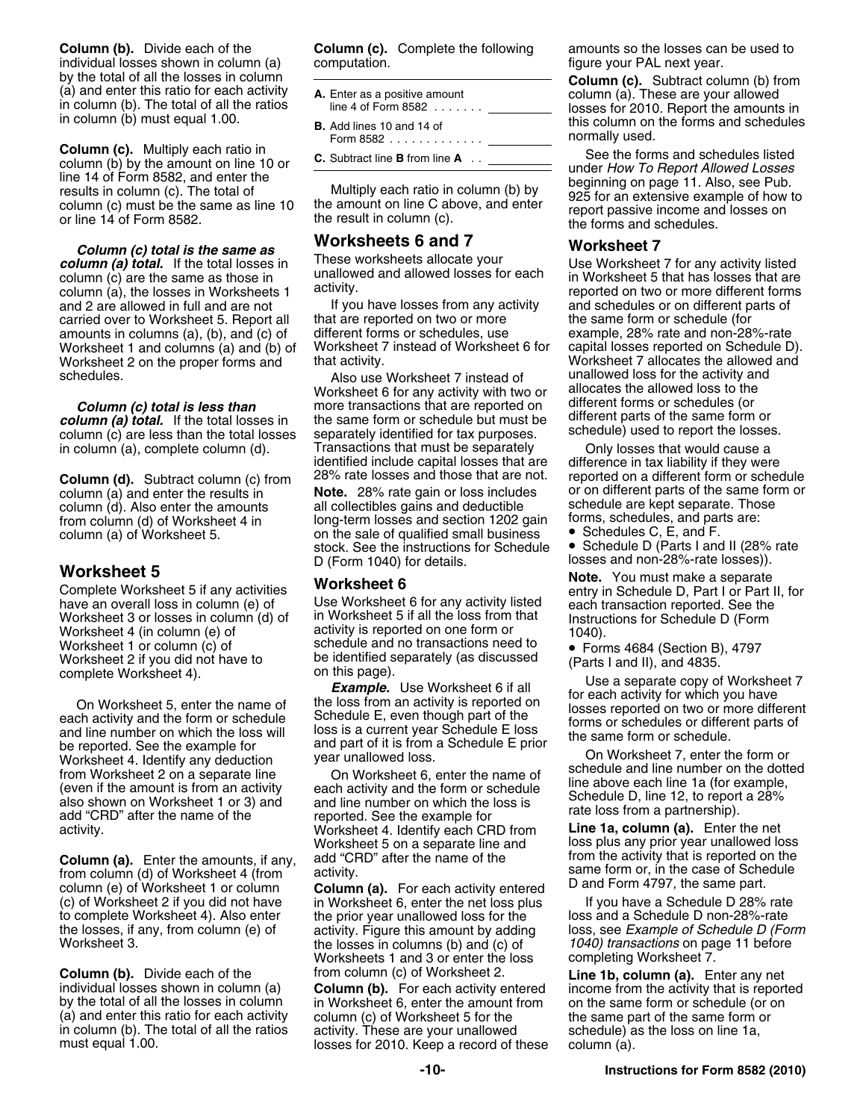**Column (b).** Divide each of the **Column (c).** Complete the following amounts so the losses can be used to individual losses shown in column (a) computation. individual losses shown in column (a)

**Column (c).** Multiply each ratio in<br>
column (b) by the amount on line 10 or<br>
line 14 of Form 8582, and enter the<br>
results in column (c). The total of<br>
column (c) must be the same as line 10<br>
or line 14 of Form 8582.<br>
or

**Column (c) total is the same as <b>WORKSheets 6 and 7 Worksheet 7**<br>*Lumn (a) total if the total losses in* These worksheets allocate your **1** a Worksheet **column (a) total.** If the total losses in and the same as those in these worksheets allocate your<br>column (c) are the same as those in unallowed and allowed losses for each column (a), the losses in Worksheets 1<br>column (a) and 2 are allowed in full and are not If you have losses from any activity and schedules or on different parts of carried over to Worksheet 5. Report all that are reported on two or more the same form or schedule (for<br>amounts in columns (a), (b), and (c) of different forms or schedules, use example, 28% rate and non-28%-rate amounts in columns (a), (b), and (c) of different forms or schedules, use example, 28% rate and non-28%-rate<br>Worksheet 1 and columns (a) and (b) of Worksheet 7 instead of Worksheet 6 for capital losses reported on Schedule Worksheet 1 and columns (a) and (b) of Worksheet 7 instead of Worksheet 6 for capital losses reported on Schedule D). Worksheet 2 on the proper forms and

column (a) total. If the total losses in the same form or schedule but must be alliterent parts of the same form or<br>Column (c) are less than the total losses separately identified for tax purposes schedule) used to report column (c) are less than the total losses separately identified for tax purposes.<br>in column (a), complete column (d). Transactions that must be separately

**Column (a).** Enter the amounts, if any, add "CRD" after the name of the from the activity that is reported on the<br>from column (d) of Worksheet 4 (from activity.<br>column (e) of Worksheet 1 or column **Column (a).** For each a (c) of Worksheet 2 if you did not have in Worksheet 6, enter the net loss plus If you have a Schedule D 28% rate<br>to complete Worksheet 4). Also enter the prior year unallowed loss for the loss and a Schedule D non-28%-rate the losses, if any, from column (e) of activity. Figure this amount by adding loss, see *Example of Schedule D (For*<br>Worksheet 3. The losses in columns (b) and (c) of the *1040) transactions* on page 11 before

**Column (b).** Divide each of the from column (c) of Worksheet 2. **Line 1b, column (a).** Enter any net individual losses shown in column (a) **Column (b).** For each activity entered income from the activity that is report

- 
- Form 8582 normally used. ............ .

schedules.<br>Morksheet 6 for any activity with two or allocates the allowed loss to the<br>Worksheet 6 for any activity with two or allocates the allowed loss to the Worksheet 6 for any activity with two or allocates the allowed loss to the<br>more transactions that are reported on different forms or schedules (or **Column (c) total is less than** more transactions that are reported on different forms or schedules (or chemic for<br>**Lumn (a) total** if the total losses in the same form or schedule but must be different parts of the same f in column (a), complete column (d). Transactions that must be separately only losses that would cause a<br>identified include capital losses that are difference in tax liability if they were identified include capital losses that are<br>28% rate losses and those that are not.

column (d). Also enter the amounts all collectibles gains and deductible schedule are kept separate. Those column (d) as  $\frac{1}{10}$  of Worksheet 4 in long-term losses and section 1202 gain forms, schedules, and parts are: from column (d) of Worksheet 4 in long-term losses and section 1202 gain forms, schedules, and part column (a) of Worksheet 5. on the sale of qualified small business<br>stock. See the instructions for Schedule D (Form 1040) for details. losses and non-28%-rate losses)).

Use Worksheet 6 for any activity listed each transaction reported. See the<br>in Worksheet 5 if all the loss from that Instructions for Schedule D (Form Worksheet 3 or losses in column (d) of in Worksheet 5 if all the loss from that Instructions for Schedule D (Form Worksheet 4 (in column (e) of activity is reported on one form or a notable 1040). Worksheet 4 (in column (e) of activity is reported on one form or  $1040$ .<br>Worksheet 1 or column (c) of schedule and no transactions need to  $\bullet$  Form

and line number on which the loss will loss is a current year Schedule E loss<br>be reported. See the example for and part of it is from a Schedule E prior<br>Worksheet 4, Identify any deduction year unallowed loss.

from Worksheet 2 on a separate line on Worksheet 6, enter the name of<br>(even if the amount is from an activity each activity and the form or schedule line above each line 1a (for example,<br>also shown on Worksheet 1 or 3) and also shown on Worksheet 1 or 3) and and line number on which the loss is<br>add "CRD" after the name of the reported. See the example for rate loss from a partnership).<br>activity. Worksheet 4 Identify each CRD from **Line 1a, c** activity. **Line 12 and 13 activity.** Worksheet 4. Identify each CRD from **Line 18, collumn (a)** Enter the networksheet 5 on a separate line and

> the losses in columns (b) and (c) of Worksheets 1 and 3 or enter the loss completing Worksheet 7.

by the total of all the losses in column in Worksheet 6, enter the amount from on the same form or schedule (or on<br>(a) and enter this ratio for each activity column (c) of Worksheet 5 for the same part of the same form or column (c) of Worksheet 5 for the the same part of the same form or in column (b). The total of all the ratios activity. These are your unallowed schedule) as the loss on line 1a, must equal 1.00. losses for 2010. Keep a record of these column (a).

by the total of all the losses in column<br>
(a) and enter this ratio for each activity<br>
in column (b). The total of all the ratios<br>
in column (b). The total of all the ratios<br> **B.** Add lines 10 and 14 of<br> **B.** Add lines 10 a

**Column (d).** Subtract column (c) from 28% rate losses and those that are not. reported on a different form or schedule column (a) and enter the results in **Note.** 28% rate gain or loss includes or on different parts of th column (a) and enter the results in **Note.** 28% rate gain or loss includes or on different parts of the same form or<br>column (d). Also enter the amounts all collectibles gains and deductible schedule are kept separate. Thos

• Schedule D (Parts I and II (28% rate

**Worksheet 5**<br>Complete Worksheet 5 if any activities **Worksheet 6 Note.** You must make a separate **Complete Worksheet 5 Worksheet 6** Complete Worksheet 5 if any activities enterally complete Worksheet 5 if any activities entry in Schedule D, Part I or Part II, for have an overall loss in column (e) of Use Worksheet 6 for any activity listed each transac

Worksheet 1 or column (c) of schedule and no transactions need to Worksheet 2 if you did not have to be identified separately (as discussed complete Worksheet 4).<br>
Complete Worksheet 4).<br>
Complete Worksheet 5, enter the na

be reported. See the example for the space of the search of the search of the second of the search of the search of the search of the search of the search of the search of the search of the search of the search of the sear

loss plus any prior year unallowed loss<br>from the activity that is reported on the

to complete Worksheet 4). Also enter the prior year unallowed loss for the loss and a Schedule D non-28%-rate<br>the losses, if any, from column (e) of activity. Figure this amount by adding loss, see Example of Schedule D

individual losses shown in column (a) **Column (b).** For each activity entered income from the activity that is reported by the total of all the losses in column in Worksheet 6, enter the amount from on the same form or sch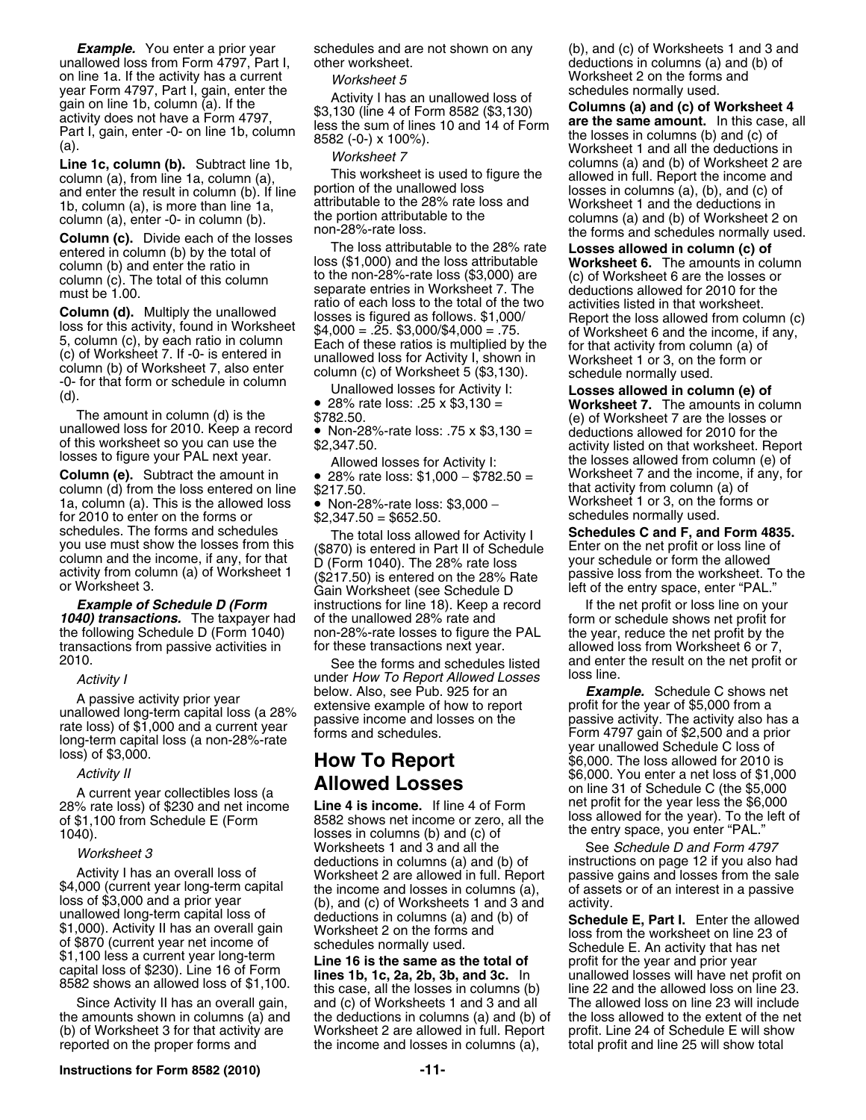unallowed loss from Form 4797, Part I, on line 1a. If the activity has a current *Worksheet 5* **Worksheet 2** on the forms and year Form 4797, Part I, gain, enter the *Norksheet 5* an unallowed loss of schedules normally used. year Form 4797, Part I, gain, enter the Activity I has an unallowed loss of<br>gain on line 1b, column (a). If the \$3,130 (line 4 of Form 8582 (\$3,130)<br>activity does not have a Form 4797,<br>Part I, gain, enter -0- on line 1b,

and enter the result in column (b). If line portion of the unallowed loss<br>1b. column (a), is more than line 1a. attributable to the 28% rate loss and Worksheet 1 and the deductions in 1b, column (a), is more than line 1a, attributable to the 28% rate loss and Worksheet 1 and the deductions in<br>column (a), enter -0- in column (b). The portion attributable to the columns (a) and (b) of Worksheet 2 on

**Column (d).** Multiply the unallowed<br>
losses is figured as follows. \$1,000/<br>
loss for this activity, found in Worksheet<br>
5, column (c), by each ratio in column<br>
5, column (c), by each ratio in column<br>
(c) of Worksheet 7.

The amount in column (d) is the  $$782.50$ .<br>
unallowed loss for 2010. Keep a record • Non-28%-rate loss: .75 x \$3,130 = deductions allowed for 2010 for the<br>
of this worksheet so you can use the  $$2.347.50$ .

column (d) from the loss entered on line  $$217.50$ .<br>
1a. column (a). This is the allowed loss • Non-28%-rate loss: \$3.000 - Worksheet 1 or 3, on the forms or 1a, column (a). This is the allowed loss  $\bullet$  Non-28%-rate loss: \$3,000 − Worksheet 1 or 3, on the forms or sensing \$2,347.50 = \$652.50 for 2010 to enter on the forms or  $$2,347.50 = $652.50$ . schedules. The forms and schedules The total loss allowed for Activity I **Schedules C and F, and Form 4835.**<br>you use must show the losses from this (\$870) is entered in Part II of Schedule Enter on the net profit or loss l

1040) transactions. The taxpayer had of the unallowed 28% rate and form or schedule shows net profit for the following Schedule D (Form 1040) non-28%-rate losses to figure the PAL the year, reduce the net profit by the<br>transactions from passive activities in for these transactions next year. allowed loss from Worksheet 6 or 7 transactions from passive activities in for these transactions next year.<br>2010. See the forms and schedules

28% rate loss) of \$230 and net income

Activity I has an overall loss of<br>
\$4,000 (current year long-term capital<br>
\$4,000 (current year long-term capital<br>
\$4,000 and a prior year<br>
\$5,000 and a prior year<br>
\$1,000). Activity I has an overall loss of<br>
\$1,000). Acti

**Instructions for Form 8582 (2010) -11-**

entered in column (b) by the total of The loss attributable to the 28% rate **Losses allowed in column (c) of** total of the season column (b) and enter the ratio in the the season of the loss attributable **Worksheet 6.** The loss (\$1,000) and the loss attributable **Worksheet 6.** The amounts in column<br>to the non-28%-rate loss (\$3,000) are (c) of Worksheet 6 are the losses or column (c). The total of this column and the non-28%-rate loss (\$3,000) are (c) of Worksheet 6 are the losses or<br>Separate entries in Worksheet 7. The deductions allowed for 2010 for the must be 1.00. Separate entries in Worksheet 7. The deductions allowed for 2010 for 2010 for 2010 for 2010 for  $\mu$  and 2010 for the 2010 for the 1.00. The contract of each loss to the total of the two

Column (e). 28% rate loss: \$1,000 − \$782.50 = viction income, it and the income, i<br>\$217.50.<br>**Final activity from column (a)** of

you use must show the losses from this (\$870) is entered in Part II of Schedule<br>column and the income, if any, for that <br>activity from column (a) of Worksheet 1 (\$217.50) is entered on the 28% rate loss your schedule or fo **Example of Schedule D (Form** instructions for line 18). Keep a record If the net profit or loss line on your

of \$1,100 from Schedule E (Form 8582 shows net income or zero, all the loss allowed for the year). To the left of  $\frac{1040}{1040}$ .<br>
1040).<br>
Morksheet 3 Worksheets 1 and 3 and all the See *Schedule D and Form 4797 Worksheet 3* Worksheets 1 and 3 and all the See *Schedule D and Form 4797*<br>deductions in columns (a) and (b) of instructions on page 12 if you also had

Since Activity II has an overall gain, and (c) of Worksheets 1 and 3 and all The allowed loss on line 23 will include<br>amounts shown in columns (a) and the deductions in columns (a) and (b) of the loss allowed to the extent the amounts shown in columns (a) and the deductions in columns (a) and (b) of (b) of Worksheet 3 for that activity are Worksheet 2 are allowed in full. Report Worksheet 2 are allowed in full. Report profit. Line 24 of Schedule E will show reported on the proper forms and the income and losses in columns (a), total profit and line 25 will show total

**Example.** You enter a prior year schedules and are not shown on any (b), and (c) of Worksheets 1 and 3 and (b) of and the allowed loss from Form 4797, Part I, other worksheet.

**Line 1c, column (b).** Subtract line 1b, the inconsition of the allowed in full. Report the income and column (a), This worksheet is used to figure the allowed in full. Report the income and and enter the result in column column (a), enter -0- in column (b). the portion attributable to the columns (a) and (b) of Worksheet 2 on<br>non-28%-rate loss. the forms and schedules normally used.<br>notionally used. The loss attributable to the 28% rate **L** 

 28% rate loss: .25 x \$3,130 = **Worksheet 7.** The amounts in column of this worksheet so you can use the  $$2,347.50$ .<br>
lowed losses for Activity I: the losses allowed from column (e) of<br> **Column (e).** Subtract the amount in  $\bullet$  28% rate loss: \$1,000 - \$782.50 = Worksheet 7 and the income,

See the forms and schedules listed and enter the result on the net profit or<br>der How To Report Allowed Losses loss line.

Activity I<br>
A passive activity prior year<br>
unallowed Losses<br>
unallowed Losses<br>
a passive activity prior year<br>
unallowed long-term capital loss (a 28%<br>
extensive example of how to report<br>
example of the year of \$5,000 from *Activity II* **Exercise 2010** is a set of the Magnetic Section of the Section of the Section of School.<br>Activity II and the Section of the Section of the Section of the Section of the Section of the Section of the Section A current year collectibles loss (a **Allowed Losses** on line 31 of Schedule C (the \$5,000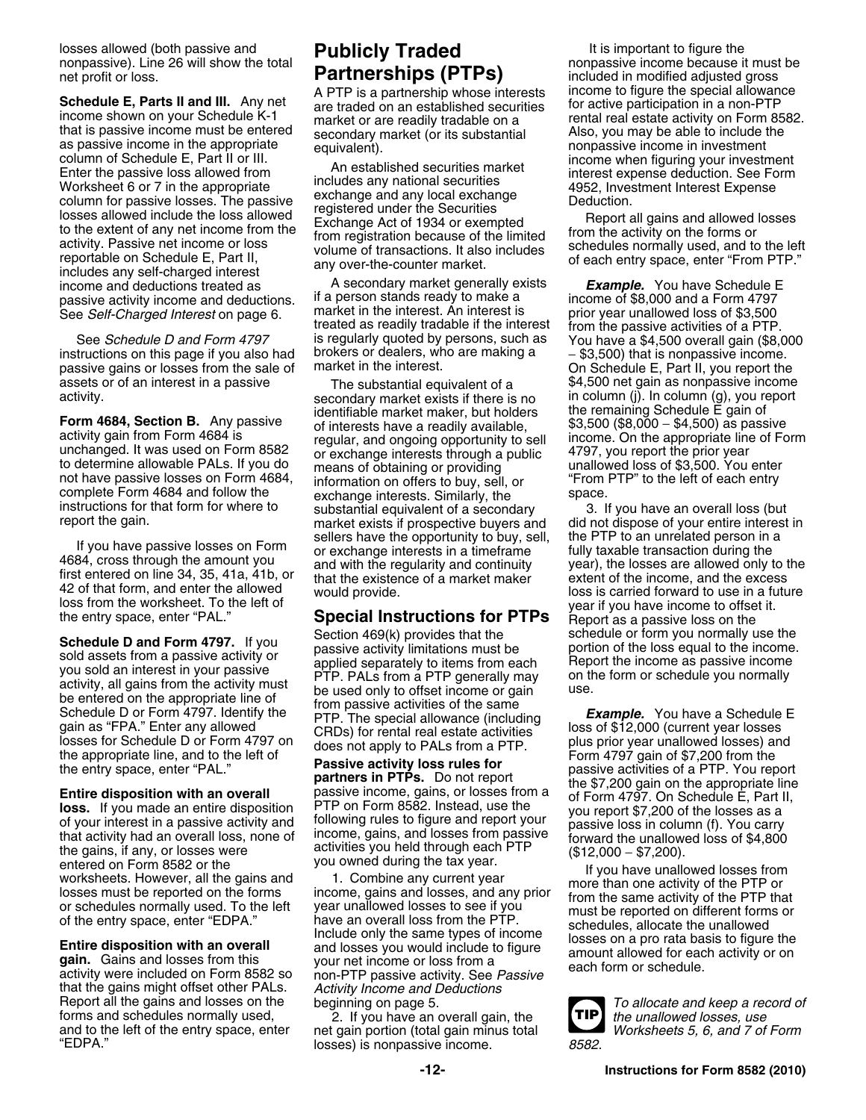nonpassive). Line 26 will show the total net profit or loss. **Partnerships (PTPs)** included in modified adjusted gross

mat is passive income must be entered<br>as passive income in the appropriate equivalent).<br>column of Schedule E, Part II or III. An actablished assembled as exclusive income when figuring your investment column of Schedule E, Part II or III. income when figuring your investment<br>
Enter the passive loss allowed from includes and prational securities interest expense deduction. See Form in<br>
Worksheet 6 or 7 in the appropriate Worksheet 6 or 7 in the appropriate<br>
column for passive losses. The passive<br>
column for passive losses. The passive<br>
column for passive losses. The passive<br>
column for passive losses. The passive<br>
column for passive losses income and deductions treated as **A** secondary market generally exists **Example.** You have Schedule E<br>
passive activity income and deductions. If a person stands ready to make a **ready income of \$8,000** and a Form 4797 passive activity income and deductions. If a person stands ready to make a income of \$8,000 and a Form 4797<br>See Self-Charged Interest on page 6. Invented in the interest. An interest is expriency parallowed loss of \$3,500

instructions on this page if you also had brokers or dealers, who are making a <sup>−</sup> \$3,500) that is nonpassive income. passive gains or losses from the sale of market in the interest. On Schedule E, Part II, you report the assets or of an interest in a passive The substantial equivalent of a \$4,500 net gain as nonpassive income<br>activity. In column (g), you report secondary market exists if there is no in column (j). In column (g), you report

Gain as "FPA." Enter any allowed CRDs) for rental real estate activities consists of \$12,000 (current year losses<br>losses for Schedule D or Form 4797 on does not apply to PALs from a PTP plus prior year unallowed losses) an

that the gains might offset other PALs. *Activity Income and Deductions*<br>
Report all the gains and losses on the beginning on page 5.<br>
forms and schedules normally used, 2. If you have an overall gain, the **TIP** the unallo forms and schedules normally used, 2. If you have an overall gain, the *the unallowed losses, use* and to the left of the entry space, enter net gain portion (total gain minus total *Worksheets 5, 6, and 7 of Form*

See *Self-Charged Interest* on page 6. market in the interest. An interest is prior year unallowed loss of \$3,500<br>treated as readily tradable if the interest from the passive activities of a PTP.<br>See *Schedule D and Form 4* is regularly quoted by persons, such as You have a \$4,500 overall gain (\$8,000 brokers or dealers, who are making a  $=$   $\pm$ 3.500) that is nonpassive income.

secondary market exists if there is no in column (j). In column (g), you report<br>identifiable market maker, but holders the remaining Schedule E gain of **Form 4684, Section B.** Any passive identifiable market maker, but holders the remaining Schedule E gain of<br>activity gain from Form 4684 is regular, and ongoing opportunity to sell income. On the appropriate line of Form<br>u not have passive losses on Form 4684, information on offers to buy, sell, or inform PTP" to the left of each entry<br>complete Form 4684 and follow the exchange interests. Similarly, the space, complete Form 4684 and follow the exchange interests. Similarly, the space.<br>
instructions for that form for where to substantial equivalent of a secondary 3. If you have an overall loss (but If you have passive losses on Form<br>4684, cross through the amount you<br>4684, cross through the amount you<br>42 of that form, and enter the allowed<br>42 of that form, and enter the allowed<br>42 of that form, and enter the allowed<br>

**Schedule D and Form 4797.** If you Section 469(k) provides that the schedule or form you normally use the passive activity imitations must be sold assets from a passive activity or applied separately to items from each you

the gains, if any, or losses were<br>
entered on Form 8582 or the<br>
losses must be reported on the forms<br>
losses must be reported on the forms<br>
losses must be reported on the forms<br>
losses must be reported on the forms<br>
losses

 $losses$ ) is nonpassive income.

losses allowed (both passive and **Publicly Traded** It is important to figure the nonpassive). Line 26 will show the total Schedule E, Parts II and III. Any net<br>income shown on your Schedule K-1 market or are readily tradable on a<br>that is passive income must be entered secondary market (or its substantial also, you may be able to include the

instructions for that form for where to substantial equivalent of a secondary and 3. If you have an overall loss (but report the gain.<br>market exists if prospective buyers and did not dispose of your entire interest in<br>sell a discuss is carried forward to use in a future<br>loss from the worksheet. To the left of would provide.<br>the entry space, enter "PAL." **Special Instructions for PTPs** Report as a passive loss on the

losses for Schedule D or Form 4797 on<br>
the appropriate line, and to the left of<br>
the entry space, enter "PAL."<br> **Entire disposition with an overall**<br> **Entire disposition with an overall**<br> **Entire disposition with an overal**